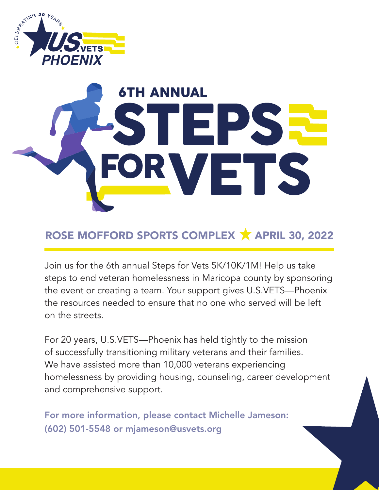

# 6TH ANNUALE ET

### ROSE MOFFORD SPORTS COMPLEX **X** APRIL 30, 2022

Join us for the 6th annual Steps for Vets 5K/10K/1M! Help us take steps to end veteran homelessness in Maricopa county by sponsoring the event or creating a team. Your support gives U.S.VETS—Phoenix the resources needed to ensure that no one who served will be left on the streets.

For 20 years, U.S.VETS—Phoenix has held tightly to the mission of successfully transitioning military veterans and their families. We have assisted more than 10,000 veterans experiencing homelessness by providing housing, counseling, career development and comprehensive support.

For more information, please contact Michelle Jameson: (602) 501-5548 or mjameson@usvets.org